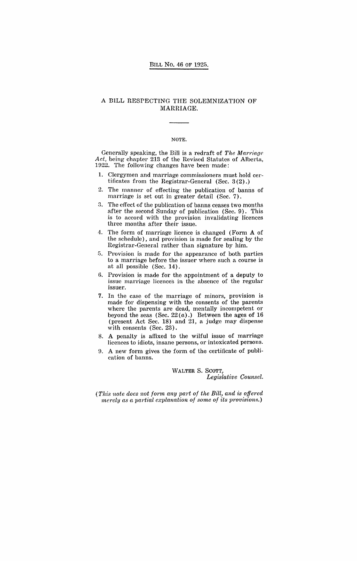## A BILL RESPECTING THE SOLEMNIZATION OF MARRIAGE.

#### NOTE.

Generally speaking, the Bill is a redraft of *The Marriage*  Act, being chapter  $213$  of the Revised Statutes of Alberta, 1922. The following changes have been made:

- 1. Clergymen and marriage commissioners must hold certificates from the Registrar-General (Sec. 3 (2).)
- 2. The manner of effecting the publication of banns of marriage is set out in greater detail (Sec. 7).
- 3. The effect of the publication of banns ceases two months after the second Sunday of publication (Sec. 9). This is to accord with the provision invalidating licences three months after their issue.
- 4. The form of marriage licence is changed (Form A of the schedule), and provision is made for sealing by the Registrar-General rather than signature by him.
- 5. Provision is made for the appearance of both parties to a marriage before the issuer where such a course is at all possible (Sec. 14).
- 6. Provision is made for the appointment of a deputy to issue marriage licences in the absence of the regular issuer.
- 7. In the case of the marriage of minors, provision is made for dispensing with the consents of the parents where the parents are dead, mentally incompetent or beyond the seas (Sec.  $22(a)$ .) Between the ages of 16 (present Act Sec. 18) and 21, a judge may dispense with consents (Sec. 23).
- 8. A penalty is affixed to the wilful issue of marriage licences to idiots, insane persons, or intoxicated persons.
- ~). A new form gives the form of the certificate of publication of banns.

WALTER S. SCOTT, *Legislative Counsel.* 

*(This note does not form any part of the Bill, and is offered merely as a partial explanation of some of its provisions.)*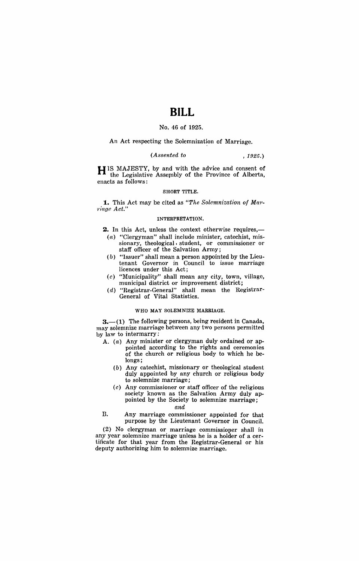# **BILL**

## No. 46 of 1925.

An Act respecting the Solemnization of Marriage.

#### *(Assented to* , 1925.)

H IS MAJESTY, by and with the advice and consent of the Legislative Assembly of the Province of Alberta, enacts as follows:

#### SHORT TITLE.

**1.** This Act may be cited as "The Solemnization of Mar $r \in (1, 1)$ 

#### INTERPRETATION.

**2.** In this Act, unless the context otherwise requires,—

- $(a)$  "Clergyman" shall include minister, catechist, missionary, theological. student, or commissioner or staff officer of the Salvation Army;
- (b) "Issuer" shall mean a person appointed by the Lieutenant Governor in Council to issue marriage licences under this Act;
- $(c)$  "Municipality" shall mean any city, town, village, municipal district or improvement district;
- (d) "Registrar-General" shall mean the Registrar-General of Vital Statistics.

#### WHO MAY SOLEMNIZE MARRIAGE.

 $3.$ —(1) The following persons, being resident in Canada, may solemnize marriage between any two persons permitted by law to intermarry:

- A. (a) Any minister or clergyman duly ordained or appointed according to the rights and ceremonies of the church or religious body to which he belongs;
	- (b) Any catechist, missionary or theological student duly appointed by any church or religious body to solemnize marriage;
	- $(c)$  Any commissioner or staff officer of the religious society known as the Salvation Army duly appointed by the Society to solemnize marriage;

*nnd* 

B. Any marriage commissioner appointed for that purpose by the Lieutenant Governor in Council.

(2) No clergyman or marriage commissioner shall in any year solemnize marriage unless he is a holder of a certificate for that year from the Registrar-General or his deputy authorizing him to solemnize marriage.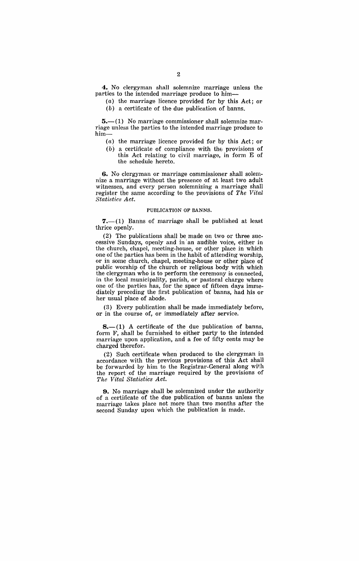**4.** No clergyman shall solemnize marriage unless the parties to the intended marriage produce to him-

- (a) the marriage licence provided for by this Act; or
- (b) a certificate of the due publication of banns.

 $5.$ — $(1)$  No marriage commissioner shall solemnize marriage unless the parties to the intended marriage produce to him-

- (a) the marriage licence provided for by this Act; or
- $(b)$  a certificate of compliance with the provisions of this Act relating to civil marriage, in form E of the schedule hereto.

**6.** No clergyman or marriage commissioner shall solemnize a marriage without the presence of at least two adult witnesses, and every person solemnizing a marriage shall register the same according to the provisions of *The Vital*   $Statistics$  *Act.* 

#### PUBLICATION OF BANNS.

 $7(-1)$  Banns of marriage shall be published at least thrice openly.

(2) The publications shall be made on two or three successive Sundays, openly and in' an audible voice, either in the church, chapel, meeting-house, or other place in which one of the parties has been in the habit of attending worship, or in some church, chapel, meeting-house or other place of public worship of the church or religious body with which the clergyman who is to perform the ceremony is connected, in the local municipality, parish, or pastoral charge where one of the parties has, for the space of fifteen days immediately preceding the first publication of banns, had his or her usual place of abode.

(3) Every publication shall be made immediately before, or in the course of, or immediately after service.

 $8-(1)$  A certificate of the due publication of banns, form F, shall be furnished to either party to the intended marriage upon application, and a fee of fifty cents may be charged therefor.

(2) Such certificate when produced to the clergyman in accordance with the previous provisions of this Act shall be forwarded by him to the Registrar-General along with the report of the marriage required by the provisions of *The Vital Statistics Act.* 

**9.** No marriage shall be solemnized under the authority of a certificate of the due publication of banns unless the marriage takes place not more than two months after the second Sunday upon which the publication is made.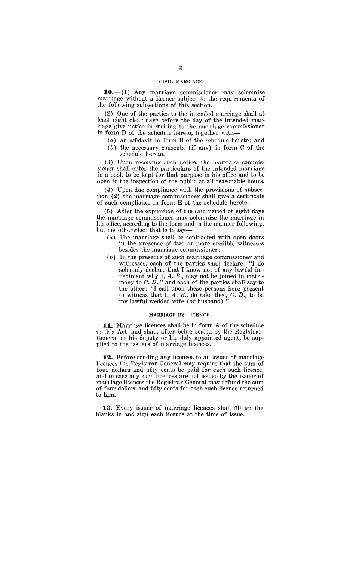#### CIVIL MARRIAGE.

 $10- (1)$  Any marriage commissioner may solemnize marriage without a licence subject to the requirements of the following subsections of this section.

(2) One of the parties to the intended marriage shall at least eight clear days before the day of the intended marriage give notice in writing to the marriage commissioner in form  $D$  of the schedule hereto, together with-

- $(a)$  an affidavit in form B of the schedule hereto; and
- (b) the necessary consents. (if any) in form C of the schedule hereto.

(3) Upon receiving such notice, the marriage commissioner shall enter the particulars of the intended marriage in a book to be kept for that purpose in his office and to be open to the inspection of the public at all reasonable hours.

(4) Upon due compliance with the provisions of subsection (2) the marriage commissioner shall give a certificate of such compliance in form E of the schedule hereto.

(5) After the expiration of the said period of eight days the marriage commissioner may solemnize the marriage in his office, according to the form and in the manner following, but not otherwise; that is to say-

- $(a)$  The marriage shall be contracted with open doors in the presence of two or more credible witnesses besides the marriage commissioner;
- (b) In the presence of such marriage commissioner and witnesses, each of the parties shall declare: "I do solemnly declare that I know not of any lawful impediment why I, A. B., may not be joined in matrimony to  $C$ ,  $D$ .," and each of the parties shall say to the other: "I call upon these persons here present to witness that I,  $A$ .  $B$ ., do take thee,  $C$ .  $D$ ., to be my lawful wedded wife (or husband).'

#### MARRIAGE BY LICENCE.

**11.** Marriage licences shall be in form A of the schedule to this Act, and shall, after being sealed by the Registrar-General or his deputy or his duly appointed agent, be supplied to the issuers of marriage licences.

**12.** Before sending any licences to an issuer of marriage licences the Registrar-General may require that the sum of four dollars and fifty cents be paid for each such licence, and in case any such licences are not issued by the issuer of marriage licences the Registrar-General may refund the sum of four dollars and fifty cents for each such licence returned to him.

**13.** Every issuer of marriage licences shall fill up the blanks in and sign each licence at the time of issue.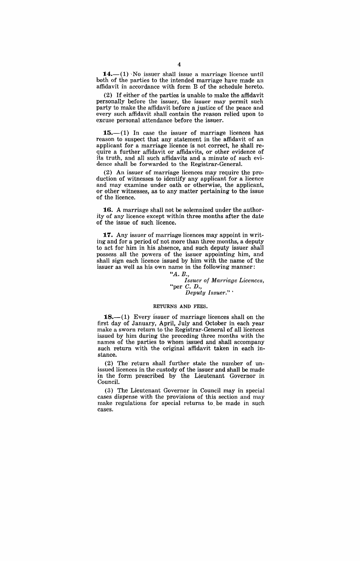$14.$ - $(1)$  No issuer shall issue a marriage licence until both of the parties to the intended marriage have made an affidavit in accordance with form B of the schedule hereto.

(2) If either of the parties is unable to make the affidavit personally before the issuer, the issuer may permit such party to make the affidavit before a justice of the peace and every such affidavit shall contain the reason relied upon to excuse personal attendance before the issuer.

 $15.-(1)$  In case the issuer of marriage licences has reason to suspect that any statement in the affidavit of an applicant for a marriage licence is not correct, he shall require a further affidavit or affidavits, or other evidence of its truth, and all such affidavits and a minute of such evidence shall be forwarded to the Registrar-General.

(2) An issuer of marriage licences may require the production of witnesses to identify any applicant for a licence and may examine under oath or otherwise, the applicant, or other witnesses, as to any matter pertaining to the issue of the licence.

**:16.** A marriage shall not be solemnized under the authority of any licence except within three months after the date of the issue of such licence.

**:17.** Any issuer of marriage licences may appoint in writing and for a period of not more than three months, a deputy to act for him in his absence, and such deputy issuer shall possess. all the powers of the issuer appointing him, and shall sign each licence issued by him with the name of the issuer as well as his own name in the following manner:

> *"A. E., Issuer of Marriage Licences,*  "per C. D., *Deput:y Issuer." .*

#### RETURNS AND FEES.

 $18.-(1)$  Every issuer of marriage licences shall on the first day of January, April, July and October in each year make a sworn return to the Registrar-General of all licences issued by him during the preceding three months with the names of the parties to whom issued and shall accompany such return with the original affidavit taken in each instance.

(2) The return shall further state the number of unissued licences in the custody of the issuer and shall be made in the form prescribed by the Lieutenant Governor in Council.

(3) The Lieutenant Governor in Council may in special cases dispense with the provisions of this section and may make regulations for special returns to. be made in such cases.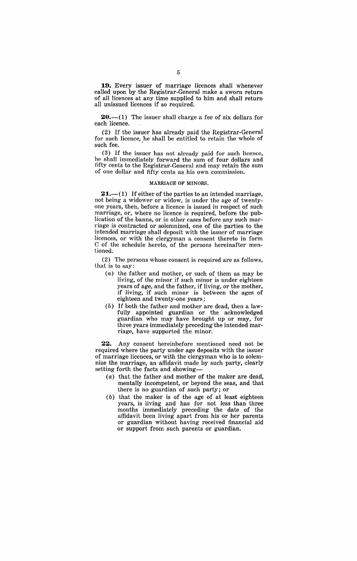**19.** Every issuer of marriage licences shall whenever called upon by the Registrar-General make a sworn return of all licences at any time supplied to him and shall return all unissued licences if so required.

**20.**—(1) The issuer shall charge a fee of six dollars for each licence.

(2) If the issuer has already paid the Registrar-General for such licence, he shall be entitled to retain the whole of such fee.

. (3) If the issuer has not already paid for such licence,. he shall immediately forward the sum of four dollars and fifty cents to the Registrar-General and may retain the sum of one dollar and fifty cents as his own commission.

#### MARRIAGE OF MINORS.

**21.**—(1) If either of the parties to an intended marriage, not being a widower or widow, is under the age of twentyone years, then, before a licence is issued in respect of such marriage, or, where no licence is required, before the publication of the banns, or in other cases before any such marriage is contracted or solemnized, one of the parties to the intended marriage shall deposit with the issuer of marriage licences, or with the clergyman a consent thereto in form C of the schedule hereto, of the persons hereinafter mentioned.

(2) The persons whose consent is required are as follows, that is to say:

- (a) the father and mother, or such of them as may be living, of the minor if such minor is under eighteen years of age, and the father, if living, or the mother, if living, if such minor is between the ages of eighteen and twenty-one years;
- (b) If both the father and mother are dead, then a lawfully appointed guardian or the acknowledged guardian who may have brought up or may, for three years immediately preceding the intended marriage, have supported the minor.

**22.** Any consent hereinbefore mentioned need not be required where the party under age deposits with the issuer of marriage licences, or with the clergyman who is to solemnize the marriage, an' affidavit made by such party, clearly setting forth the facts and showing-

- (a) that the father and mother of the maker are dead, mentally incompetent, or beyond the seas, and that there is no guardian of such party; or
- (b) that the maker is of the age of at least eighteen years, is living and has for not less than three months immediately preceding the date of the affidavit been living apart from his or her parents or guardian without having received financial aid or support from such parents or guardian.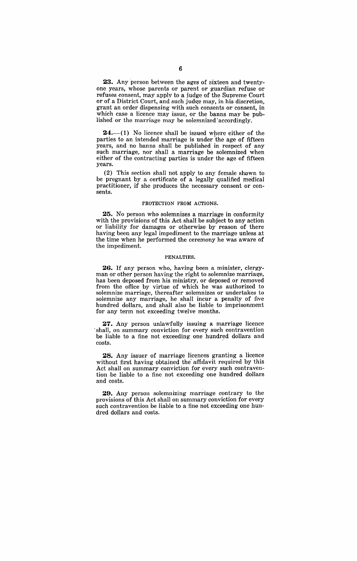**23.** Any person between the ages of sixteen and twentyone years, whose parents or parent or guardian refuse or refuses consent, may apply to a judge of the Supreme Court or of a District Court, and such judge may, in his discretion, grant an order dispensing with such consents or consent, in which case a licence may issue, or the banns may be published or the marriage may be solemnized 'accordingly.

 $24$ .—(1) No licence shall be issued where either of the parties to an intended marriage is under the age of fifteen years, and no banns shall be published in respect of any such marriage, nor shall a marriage be solemnized when either of the contracting parties is under the age of fifteen years.

(2) This section shall not apply to any female shown to be pregnant by a certificate of a legally qualified medical practitioner, if she produces the necessary consent or consents.

#### PROTECTION FROM ACTIONS.

**25.** No person who solemnizes a marriage in conformity with the provisions of this Act shall be subject to any action or liability for damages or otherwise by reason of there having been any legal impediment to the marriage unless at the time when he performed the ceremony he was aware of the impediment.

#### PENALTIES.

**26.** If any person who, having been a minister, clergyman or other person having the right to solemnize marriage, has been deposed from his ministry, or deposed or removed from the office by virtue of which he was authorized to solemnize marriage, thereafter solemnizes or undertakes to solemnize any marriage, he shall incur a penalty of five hundred dollars, and shall also' be liable to imprisonment for any term not exceeding twelve months.

27. Any person unlawfully issuing a marriage licence shall, on summary conviction for every such contravention be liable to a fine not exceeding one hundred dollars and costs.

**28.** Any issuer of marriage licences granting a licence without first having obtained the' affidavit required by this Act shall on summary conviction for every such contravention be liable to a fine not exceeding one hundred dollars and costs.

**29.** Any person solemnizing marriage contrary to the provisions of this Act shall on summary conviction for every such contravention be liable to a fine not exceeding one hundred dollars and costs.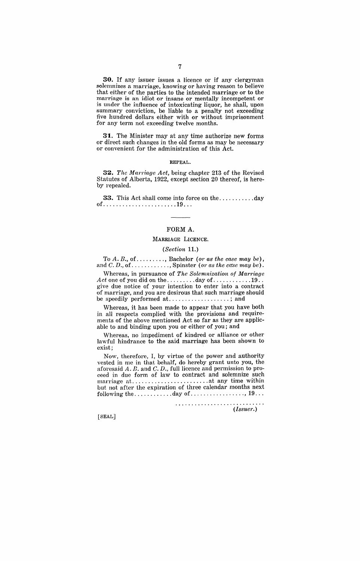**30.** If any issuer issues a licence or if any clergyman solemnizes a marriage, knowing or having reason to believe that either of the parties to the intended marriage or to the marriage is an idiot or insane or mentally incompetent or is under the influence of intoxicating liquor, he shall, upon summary conviction, be liable to a penalty not exceeding five hundred dollars either with or without imprisonment for any term not exceeding twelve months.

**31.** The Minister may at any time authorize new forms or direct such changes in the old forms as may be necessary or convenient for the administration of this Act.

#### REPEAL.

**32.** *The Marriage Act*, being chapter 213 of the Revised Statutes of Alberta, 1922, except section 20 thereof, is hereby repealed.

**33.** This Act shall come into force on the ........... day of............................19...

## FORM A.

### MARRIAGE LICENCE.

#### *(Section* 11.)

To *A. B.,* of ......... , Bachelor *(or as the case may be),*  and C. D., of............, Spinster (or as the case may be).

Whereas, in pursuance of *The Solemnization of Marriage*  Act one of you did on the .........day of ..............19... give due notice of your intention to enter into a contract of marriage, and you are desirous that such marriage should be speedily performed at....................; and

Whereas, it has been made to appear that you have both in all respects complied with the provisions and requirements of the above mentioned Act so far as they are applicable to and binding upon you or either of you; and

Whereas, no impediment of kindred or alliance or other lawful hindrance to the said marriage has been shown to exist;

Now, therefore, I, by virtue of the power and authority vested in me in that behalf, do hereby grant unto you, the aforesaid  $A. \, B.$  and  $C. \, D.,$  full licence and permission to proceed in due form of law to contract and solemnize such mal'l'iage at ........................ at any time within but not after the expiration of three calendar months next following the  $\dots \dots \dots \dots$  day of  $\dots \dots \dots \dots \dots$ , 19...

........................... . *(Issuer.)* 

[SEAL]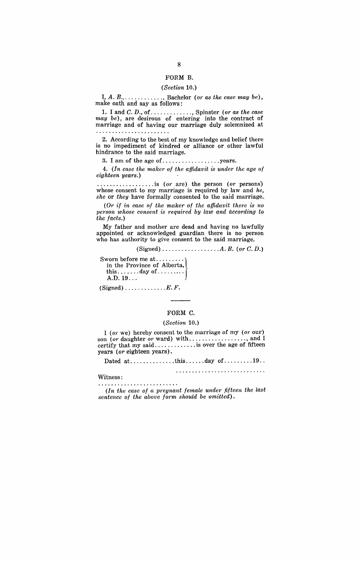#### FORM B.

#### *(Section 10.)*

I, A. B., . ........... , Bachelor *(or as the case may be),*  make oath and say as follows:

1. I and C. D., of ............. , Spinster (01' *as the case may be),* are desirous of entering into the contract of marriage and of having our marriage duly solemnized at . . . . . . . . . . . . . . . . . .

2. According to the best of my knowledge and belief there is no impediment of kindred or alliance or other lawful hindrance to the said marriage.

3. I am of the age of .................. years.

4. *(In case the maker of the affidavit is under the age of eighteen years.)* 

.................. is *(or* are) the person ( *or* persons) whose consent to my marriage is required by law and *he, she* or *they* have formally consented to the said marriage.

(Or if in case of the maker of the affidavit there is no person whose consent is required by law and according to *the facts.)* 

My father and mother are dead and having no lawfully appointed or acknowledged guardian there is no person who has authority to give consent to the said marriage.

(Signed) ................. *.* A. B. *(or* C. D.)

Sworn before me at..........<br>in the Province of Alberta, this  $\dots \dots$  day of  $\dots \dots$ A.D. 19...

 $(Signed)$ .............. $E.$   $F.$ 

#### FORM C.

#### *(Section 10.)*

I (or we) hereby consent to the marriage of my (or our) son *(or* daughter *or* ward) with .................. J and I certify that my said............... is over the age of fifteen years *(or* eighteen years).

Dated at. ............. this ...... day of. ........ 19 ..

Witness: 

 $(In the case of a pregnant female under fifteen the last)$ *sentence of the above form should be omitted).*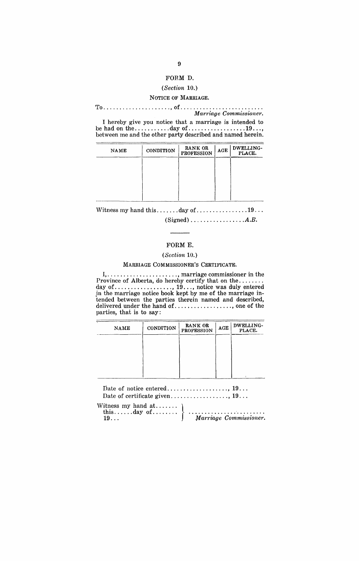## FORM D.

## (Section 10.)

## NOTICE OF MARRIAGE.

TO ..................... J of ......................... . *Marriage Commissioner.* 

I hereby give you notice that a marriage is intended to be had on the .............day of .......................19..., between me and the other party described and named herein.

| <b>NAME</b> | <b>CONDITION</b> | RANK OR<br><b>PROFESSION</b> | ACE | DWELLING-<br>PLACE. |
|-------------|------------------|------------------------------|-----|---------------------|
|             |                  |                              |     |                     |
|             |                  |                              |     |                     |
|             |                  |                              |     |                     |

Witness my hand this ........day of ..................19... (Signed) ................ *.* A.B.

## FORM E.

### (Section 10.)

MARRIAGE COMMISSIONER'S CERTIFICATE.

I, ...................... , marriage commissioner in the Province of Alberta, do hereby certify that on the ......... day of .................. , 19 ... , notice was duly entered in the marriage notice book kept by me of the marriage intended between the parties therein named and described, delivered under the hand of. ................. , one of the parties, that is to say:

| <b>NAME</b> | CONDITION | RANK OR<br><b>PROFESSION</b> | $\mathbf{AGE}$ | DWELLING-<br>PLACE. |
|-------------|-----------|------------------------------|----------------|---------------------|
|             |           |                              |                |                     |
|             |           |                              |                |                     |
|             |           |                              |                |                     |

Date of certificate given .................. , 19 .. .

Witness my hand  $at$ ....... this......day of......... 19 ... *Marriage Commissioner.*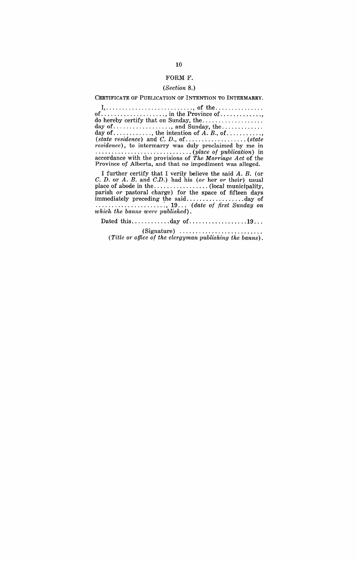#### FORM F.

## *(Section 8.)*

#### CERTIFICATE OF PUBLICATION OF INTENTION TO INTERMARRY.

 $I, \ldots, \ldots, \ldots, \ldots, \ldots, \ldots, \text{of the} \ldots, \ldots, \ldots, \ldots$ of .................... , in the Province of ............. , do hereby certify that on Sunday, the .................. . day of-.................. , and Sunday, the ............ . day of ............ , the intention of A. B., of ........... , *(state residence)* and C. D., of ................... *(state residence*), to intermarry was duly proclaimed by me in  $(place\ of\ publication)$  in accordance with the provisions of *The Marriage Act* of the Province *of* Alberta, and that no impediment was alleged.

I further certify that I verily believe the said A. B. (or C. D. or A. B. and C.D.) had his *(or* her *or* their) usual place of abode in the ................. (local municipality, parish *or* pastoral charge) for the space of fifteen days immediately preceding the said .................. day of ..................... :, 19... *(date of first Sunday on*  which the banns were published).

Dated this ..............day of ......................19...

(Signature) ......................... . *(Title or office of the clergyman publishing the banns).*